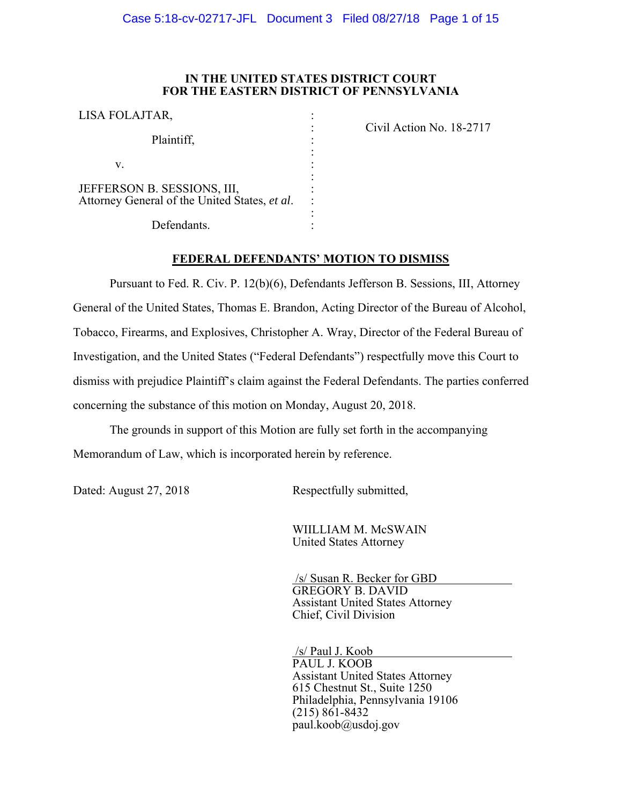### **IN THE UNITED STATES DISTRICT COURT FOR THE EASTERN DISTRICT OF PENNSYLVANIA**

| LISA FOLAJTAR,                                                               |  |
|------------------------------------------------------------------------------|--|
| Plaintiff,                                                                   |  |
| V.                                                                           |  |
| JEFFERSON B. SESSIONS, III,<br>Attorney General of the United States, et al. |  |
| Defendants.                                                                  |  |

Civil Action No. 18-2717

## **FEDERAL DEFENDANTS' MOTION TO DISMISS**

Pursuant to Fed. R. Civ. P. 12(b)(6), Defendants Jefferson B. Sessions, III, Attorney General of the United States, Thomas E. Brandon, Acting Director of the Bureau of Alcohol, Tobacco, Firearms, and Explosives, Christopher A. Wray, Director of the Federal Bureau of Investigation, and the United States ("Federal Defendants") respectfully move this Court to dismiss with prejudice Plaintiff's claim against the Federal Defendants. The parties conferred concerning the substance of this motion on Monday, August 20, 2018.

The grounds in support of this Motion are fully set forth in the accompanying Memorandum of Law, which is incorporated herein by reference.

Dated: August 27, 2018 Respectfully submitted,

 WIILLIAM M. McSWAIN United States Attorney

 /s/ Susan R. Becker for GBD GREGORY B. DAVID Assistant United States Attorney Chief, Civil Division

 /s/ Paul J. Koob PAUL J. KOOB Assistant United States Attorney 615 Chestnut St., Suite 1250 Philadelphia, Pennsylvania 19106 (215) 861-8432  $paul.koob@usdoj.gov$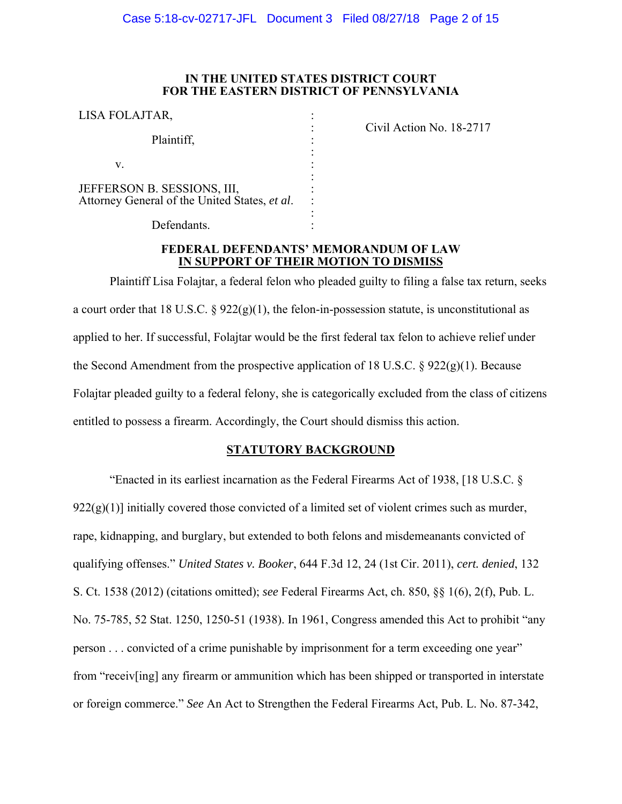### **IN THE UNITED STATES DISTRICT COURT FOR THE EASTERN DISTRICT OF PENNSYLVANIA**

: : : : : : :

| LISA FOLAJTAR,                                                               |  |
|------------------------------------------------------------------------------|--|
| Plaintiff,                                                                   |  |
| V.                                                                           |  |
| JEFFERSON B. SESSIONS, III,<br>Attorney General of the United States, et al. |  |

Civil Action No. 18-2717

Defendants.

## **FEDERAL DEFENDANTS' MEMORANDUM OF LAW IN SUPPORT OF THEIR MOTION TO DISMISS**

Plaintiff Lisa Folajtar, a federal felon who pleaded guilty to filing a false tax return, seeks a court order that 18 U.S.C.  $\S 922(g)(1)$ , the felon-in-possession statute, is unconstitutional as applied to her. If successful, Folajtar would be the first federal tax felon to achieve relief under the Second Amendment from the prospective application of 18 U.S.C.  $\S$  922(g)(1). Because Folajtar pleaded guilty to a federal felony, she is categorically excluded from the class of citizens entitled to possess a firearm. Accordingly, the Court should dismiss this action.

# **STATUTORY BACKGROUND**

"Enacted in its earliest incarnation as the Federal Firearms Act of 1938, [18 U.S.C. §  $922(g)(1)$ ] initially covered those convicted of a limited set of violent crimes such as murder, rape, kidnapping, and burglary, but extended to both felons and misdemeanants convicted of qualifying offenses." *United States v. Booker*, 644 F.3d 12, 24 (1st Cir. 2011), *cert. denied*, 132 S. Ct. 1538 (2012) (citations omitted); *see* Federal Firearms Act, ch. 850, §§ 1(6), 2(f), Pub. L. No. 75-785, 52 Stat. 1250, 1250-51 (1938). In 1961, Congress amended this Act to prohibit "any person . . . convicted of a crime punishable by imprisonment for a term exceeding one year" from "receiv[ing] any firearm or ammunition which has been shipped or transported in interstate or foreign commerce." *See* An Act to Strengthen the Federal Firearms Act, Pub. L. No. 87-342,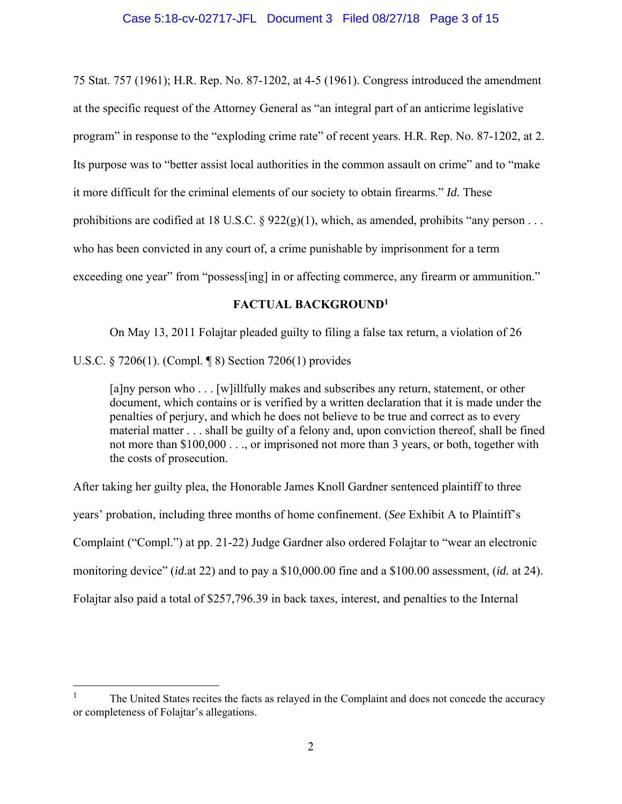75 Stat. 757 (1961); H.R. Rep. No. 87-1202, at 4-5 (1961). Congress introduced the amendment at the specific request of the Attorney General as "an integral part of an anticrime legislative program" in response to the "exploding crime rate" of recent years. H.R. Rep. No. 87-1202, at 2. Its purpose was to "better assist local authorities in the common assault on crime" and to "make it more difficult for the criminal elements of our society to obtain firearms." *Id.* These prohibitions are codified at 18 U.S.C. §  $922(g)(1)$ , which, as amended, prohibits "any person . . . who has been convicted in any court of, a crime punishable by imprisonment for a term exceeding one year" from "possess [ing] in or affecting commerce, any firearm or ammunition."

## **FACTUAL BACKGROUND1**

On May 13, 2011 Folajtar pleaded guilty to filing a false tax return, a violation of 26

U.S.C. § 7206(1). (Compl. ¶ 8) Section 7206(1) provides

1

[a]ny person who . . . [w]illfully makes and subscribes any return, statement, or other document, which contains or is verified by a written declaration that it is made under the penalties of perjury, and which he does not believe to be true and correct as to every material matter . . . shall be guilty of a felony and, upon conviction thereof, shall be fined not more than \$100,000 . . ., or imprisoned not more than 3 years, or both, together with the costs of prosecution.

After taking her guilty plea, the Honorable James Knoll Gardner sentenced plaintiff to three years' probation, including three months of home confinement. (*See* Exhibit A to Plaintiff's Complaint ("Compl.") at pp. 21-22) Judge Gardner also ordered Folajtar to "wear an electronic monitoring device" (*id.*at 22) and to pay a \$10,000.00 fine and a \$100.00 assessment, (*id.* at 24). Folajtar also paid a total of \$257,796.39 in back taxes, interest, and penalties to the Internal

<sup>1</sup> The United States recites the facts as relayed in the Complaint and does not concede the accuracy or completeness of Folajtar's allegations.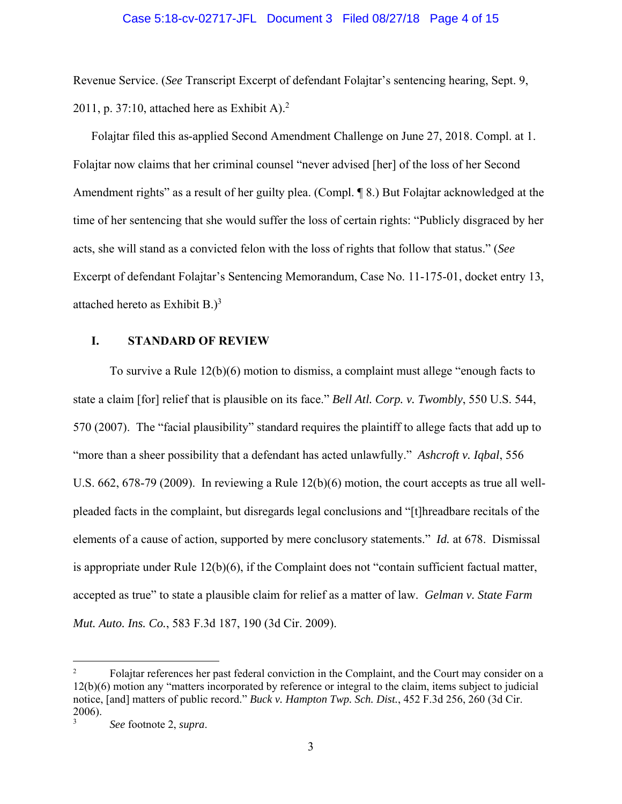#### Case 5:18-cv-02717-JFL Document 3 Filed 08/27/18 Page 4 of 15

Revenue Service. (*See* Transcript Excerpt of defendant Folajtar's sentencing hearing, Sept. 9, 2011, p. 37:10, attached here as Exhibit A). $^2$ 

Folajtar filed this as-applied Second Amendment Challenge on June 27, 2018. Compl. at 1. Folajtar now claims that her criminal counsel "never advised [her] of the loss of her Second Amendment rights" as a result of her guilty plea. (Compl. 18.) But Folajtar acknowledged at the time of her sentencing that she would suffer the loss of certain rights: "Publicly disgraced by her acts, she will stand as a convicted felon with the loss of rights that follow that status." (*See* Excerpt of defendant Folajtar's Sentencing Memorandum, Case No. 11-175-01, docket entry 13, attached hereto as Exhibit B. $)^3$ 

## **I. STANDARD OF REVIEW**

To survive a Rule 12(b)(6) motion to dismiss, a complaint must allege "enough facts to state a claim [for] relief that is plausible on its face." *Bell Atl. Corp. v. Twombly*, 550 U.S. 544, 570 (2007). The "facial plausibility" standard requires the plaintiff to allege facts that add up to "more than a sheer possibility that a defendant has acted unlawfully." *Ashcroft v. Iqbal*, 556 U.S.  $662$ ,  $678-79$  (2009). In reviewing a Rule  $12(b)(6)$  motion, the court accepts as true all wellpleaded facts in the complaint, but disregards legal conclusions and "[t]hreadbare recitals of the elements of a cause of action, supported by mere conclusory statements." *Id.* at 678. Dismissal is appropriate under Rule 12(b)(6), if the Complaint does not "contain sufficient factual matter, accepted as true" to state a plausible claim for relief as a matter of law. *Gelman v. State Farm Mut. Auto. Ins. Co.*, 583 F.3d 187, 190 (3d Cir. 2009).

 $\overline{a}$ 

<sup>2</sup> Folajtar references her past federal conviction in the Complaint, and the Court may consider on a 12(b)(6) motion any "matters incorporated by reference or integral to the claim, items subject to judicial notice, [and] matters of public record." *Buck v. Hampton Twp. Sch. Dist.*, 452 F.3d 256, 260 (3d Cir. 2006).

<sup>3</sup> *See* footnote 2, *supra*.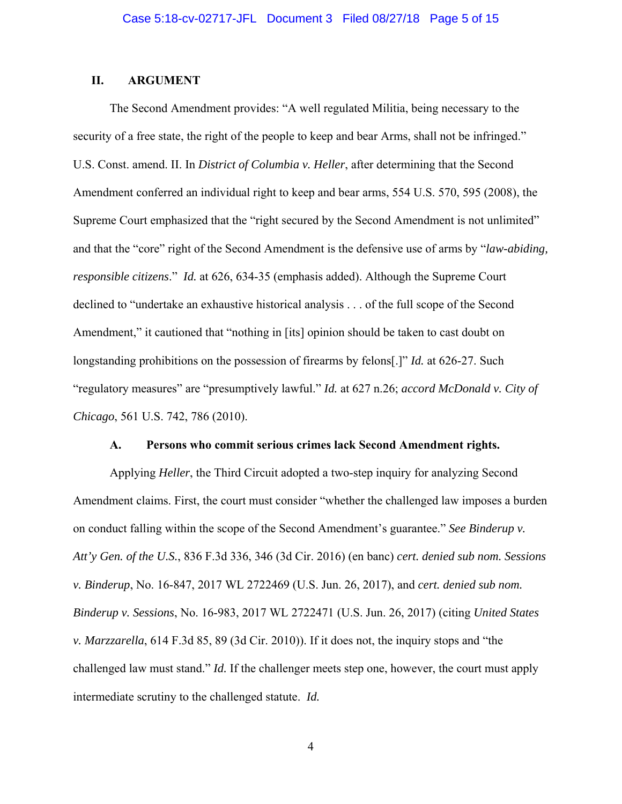### **II. ARGUMENT**

The Second Amendment provides: "A well regulated Militia, being necessary to the security of a free state, the right of the people to keep and bear Arms, shall not be infringed." U.S. Const. amend. II. In *District of Columbia v. Heller*, after determining that the Second Amendment conferred an individual right to keep and bear arms, 554 U.S. 570, 595 (2008), the Supreme Court emphasized that the "right secured by the Second Amendment is not unlimited" and that the "core" right of the Second Amendment is the defensive use of arms by "*law-abiding, responsible citizens*." *Id.* at 626, 634-35 (emphasis added). Although the Supreme Court declined to "undertake an exhaustive historical analysis . . . of the full scope of the Second Amendment," it cautioned that "nothing in [its] opinion should be taken to cast doubt on longstanding prohibitions on the possession of firearms by felons[.]" *Id.* at 626-27. Such "regulatory measures" are "presumptively lawful." *Id.* at 627 n.26; *accord McDonald v. City of Chicago*, 561 U.S. 742, 786 (2010).

#### **A. Persons who commit serious crimes lack Second Amendment rights.**

Applying *Heller*, the Third Circuit adopted a two-step inquiry for analyzing Second Amendment claims. First, the court must consider "whether the challenged law imposes a burden on conduct falling within the scope of the Second Amendment's guarantee." *See Binderup v. Att'y Gen. of the U.S.*, 836 F.3d 336, 346 (3d Cir. 2016) (en banc) *cert. denied sub nom. Sessions v. Binderup*, No. 16-847, 2017 WL 2722469 (U.S. Jun. 26, 2017), and *cert. denied sub nom. Binderup v. Sessions*, No. 16-983, 2017 WL 2722471 (U.S. Jun. 26, 2017) (citing *United States v. Marzzarella*, 614 F.3d 85, 89 (3d Cir. 2010)). If it does not, the inquiry stops and "the challenged law must stand." *Id.* If the challenger meets step one, however, the court must apply intermediate scrutiny to the challenged statute. *Id.*

4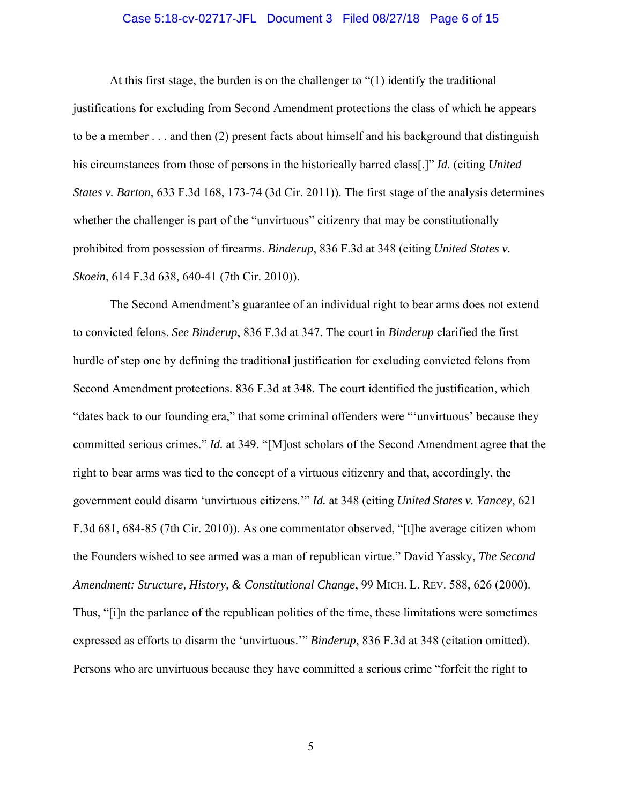### Case 5:18-cv-02717-JFL Document 3 Filed 08/27/18 Page 6 of 15

At this first stage, the burden is on the challenger to "(1) identify the traditional justifications for excluding from Second Amendment protections the class of which he appears to be a member . . . and then (2) present facts about himself and his background that distinguish his circumstances from those of persons in the historically barred class[.]" *Id.* (citing *United States v. Barton*, 633 F.3d 168, 173-74 (3d Cir. 2011)). The first stage of the analysis determines whether the challenger is part of the "unvirtuous" citizenry that may be constitutionally prohibited from possession of firearms. *Binderup*, 836 F.3d at 348 (citing *United States v. Skoein*, 614 F.3d 638, 640-41 (7th Cir. 2010)).

The Second Amendment's guarantee of an individual right to bear arms does not extend to convicted felons. *See Binderup*, 836 F.3d at 347. The court in *Binderup* clarified the first hurdle of step one by defining the traditional justification for excluding convicted felons from Second Amendment protections. 836 F.3d at 348. The court identified the justification, which "dates back to our founding era," that some criminal offenders were "'unvirtuous' because they committed serious crimes." *Id.* at 349. "[M]ost scholars of the Second Amendment agree that the right to bear arms was tied to the concept of a virtuous citizenry and that, accordingly, the government could disarm 'unvirtuous citizens.'" *Id.* at 348 (citing *United States v. Yancey*, 621 F.3d 681, 684-85 (7th Cir. 2010)). As one commentator observed, "[t]he average citizen whom the Founders wished to see armed was a man of republican virtue." David Yassky, *The Second Amendment: Structure, History, & Constitutional Change*, 99 MICH. L. REV. 588, 626 (2000). Thus, "[i]n the parlance of the republican politics of the time, these limitations were sometimes expressed as efforts to disarm the 'unvirtuous.'" *Binderup*, 836 F.3d at 348 (citation omitted). Persons who are unvirtuous because they have committed a serious crime "forfeit the right to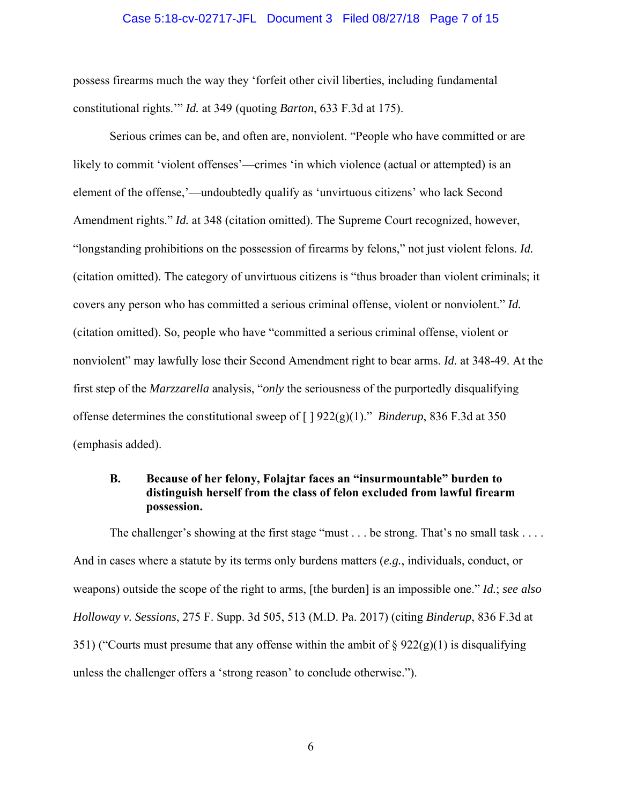#### Case 5:18-cv-02717-JFL Document 3 Filed 08/27/18 Page 7 of 15

possess firearms much the way they 'forfeit other civil liberties, including fundamental constitutional rights.'" *Id.* at 349 (quoting *Barton*, 633 F.3d at 175).

Serious crimes can be, and often are, nonviolent. "People who have committed or are likely to commit 'violent offenses'—crimes 'in which violence (actual or attempted) is an element of the offense,'—undoubtedly qualify as 'unvirtuous citizens' who lack Second Amendment rights." *Id.* at 348 (citation omitted). The Supreme Court recognized, however, "longstanding prohibitions on the possession of firearms by felons," not just violent felons. *Id.* (citation omitted). The category of unvirtuous citizens is "thus broader than violent criminals; it covers any person who has committed a serious criminal offense, violent or nonviolent." *Id.* (citation omitted). So, people who have "committed a serious criminal offense, violent or nonviolent" may lawfully lose their Second Amendment right to bear arms. *Id.* at 348-49. At the first step of the *Marzzarella* analysis, "*only* the seriousness of the purportedly disqualifying offense determines the constitutional sweep of [ ] 922(g)(1)." *Binderup*, 836 F.3d at 350 (emphasis added).

## **B. Because of her felony, Folajtar faces an "insurmountable" burden to distinguish herself from the class of felon excluded from lawful firearm possession.**

The challenger's showing at the first stage "must . . . be strong. That's no small task . . . . And in cases where a statute by its terms only burdens matters (*e.g.*, individuals, conduct, or weapons) outside the scope of the right to arms, [the burden] is an impossible one." *Id.*; *see also Holloway v. Sessions*, 275 F. Supp. 3d 505, 513 (M.D. Pa. 2017) (citing *Binderup*, 836 F.3d at 351) ("Courts must presume that any offense within the ambit of  $\S 922(g)(1)$  is disqualifying unless the challenger offers a 'strong reason' to conclude otherwise.").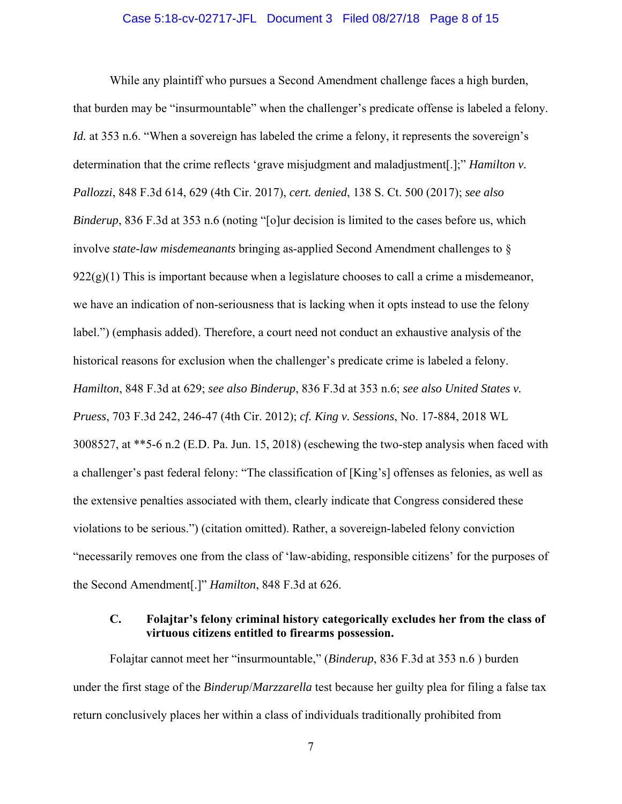#### Case 5:18-cv-02717-JFL Document 3 Filed 08/27/18 Page 8 of 15

While any plaintiff who pursues a Second Amendment challenge faces a high burden, that burden may be "insurmountable" when the challenger's predicate offense is labeled a felony. *Id.* at 353 n.6. "When a sovereign has labeled the crime a felony, it represents the sovereign's determination that the crime reflects 'grave misjudgment and maladjustment[.];" *Hamilton v. Pallozzi*, 848 F.3d 614, 629 (4th Cir. 2017), *cert. denied*, 138 S. Ct. 500 (2017); *see also Binderup*, 836 F.3d at 353 n.6 (noting "[o]ur decision is limited to the cases before us, which involve *state-law misdemeanants* bringing as-applied Second Amendment challenges to §  $922(g)(1)$  This is important because when a legislature chooses to call a crime a misdemeanor, we have an indication of non-seriousness that is lacking when it opts instead to use the felony label.") (emphasis added). Therefore, a court need not conduct an exhaustive analysis of the historical reasons for exclusion when the challenger's predicate crime is labeled a felony. *Hamilton*, 848 F.3d at 629; *see also Binderup*, 836 F.3d at 353 n.6; *see also United States v. Pruess*, 703 F.3d 242, 246-47 (4th Cir. 2012); *cf. King v. Sessions*, No. 17-884, 2018 WL 3008527, at \*\*5-6 n.2 (E.D. Pa. Jun. 15, 2018) (eschewing the two-step analysis when faced with a challenger's past federal felony: "The classification of [King's] offenses as felonies, as well as the extensive penalties associated with them, clearly indicate that Congress considered these violations to be serious.") (citation omitted). Rather, a sovereign-labeled felony conviction "necessarily removes one from the class of 'law-abiding, responsible citizens' for the purposes of the Second Amendment[.]" *Hamilton*, 848 F.3d at 626.

## **C. Folajtar's felony criminal history categorically excludes her from the class of virtuous citizens entitled to firearms possession.**

Folajtar cannot meet her "insurmountable," (*Binderup*, 836 F.3d at 353 n.6 ) burden under the first stage of the *Binderup*/*Marzzarella* test because her guilty plea for filing a false tax return conclusively places her within a class of individuals traditionally prohibited from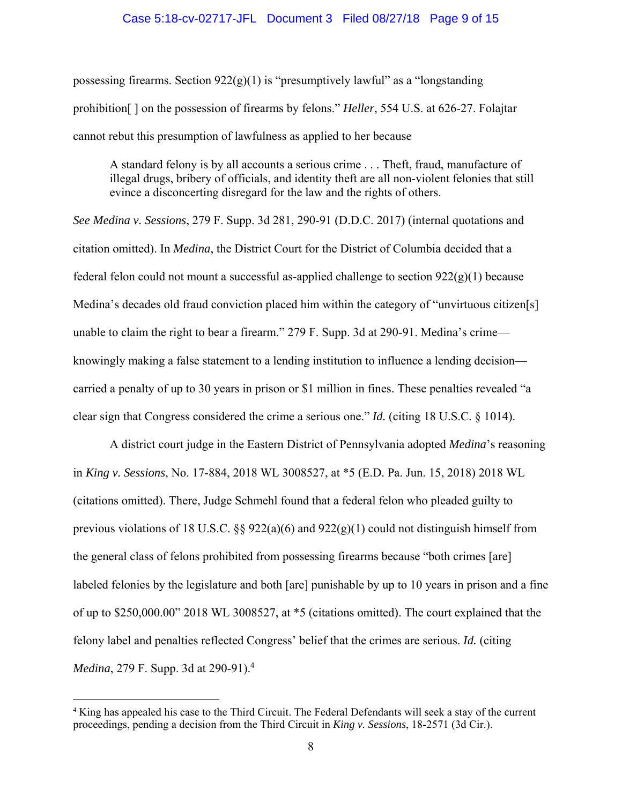#### Case 5:18-cv-02717-JFL Document 3 Filed 08/27/18 Page 9 of 15

possessing firearms. Section  $922(g)(1)$  is "presumptively lawful" as a "longstanding prohibition[ ] on the possession of firearms by felons." *Heller*, 554 U.S. at 626-27. Folajtar cannot rebut this presumption of lawfulness as applied to her because

A standard felony is by all accounts a serious crime . . . Theft, fraud, manufacture of illegal drugs, bribery of officials, and identity theft are all non-violent felonies that still evince a disconcerting disregard for the law and the rights of others.

*See Medina v. Sessions*, 279 F. Supp. 3d 281, 290-91 (D.D.C. 2017) (internal quotations and citation omitted). In *Medina*, the District Court for the District of Columbia decided that a federal felon could not mount a successful as-applied challenge to section  $922(g)(1)$  because Medina's decades old fraud conviction placed him within the category of "unvirtuous citizen[s] unable to claim the right to bear a firearm." 279 F. Supp. 3d at 290-91. Medina's crime knowingly making a false statement to a lending institution to influence a lending decision carried a penalty of up to 30 years in prison or \$1 million in fines. These penalties revealed "a clear sign that Congress considered the crime a serious one." *Id.* (citing 18 U.S.C. § 1014).

A district court judge in the Eastern District of Pennsylvania adopted *Medina*'s reasoning in *King v. Sessions*, No. 17-884, 2018 WL 3008527, at \*5 (E.D. Pa. Jun. 15, 2018) 2018 WL (citations omitted). There, Judge Schmehl found that a federal felon who pleaded guilty to previous violations of 18 U.S.C. §§ 922(a)(6) and 922(g)(1) could not distinguish himself from the general class of felons prohibited from possessing firearms because "both crimes [are] labeled felonies by the legislature and both [are] punishable by up to 10 years in prison and a fine of up to \$250,000.00" 2018 WL 3008527, at \*5 (citations omitted). The court explained that the felony label and penalties reflected Congress' belief that the crimes are serious. *Id.* (citing *Medina*, 279 F. Supp. 3d at 290-91).<sup>4</sup>

 $\overline{a}$ 

<sup>4</sup> King has appealed his case to the Third Circuit. The Federal Defendants will seek a stay of the current proceedings, pending a decision from the Third Circuit in *King v. Sessions*, 18-2571 (3d Cir.).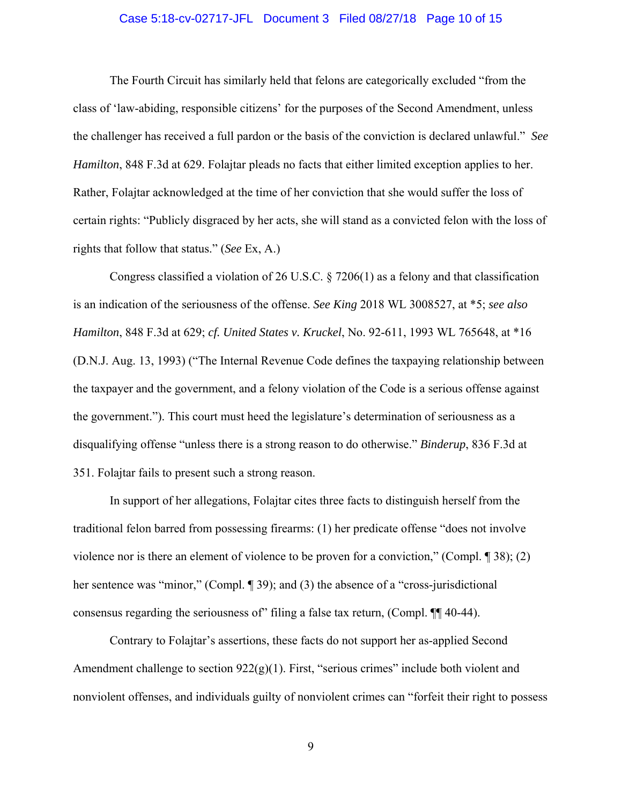### Case 5:18-cv-02717-JFL Document 3 Filed 08/27/18 Page 10 of 15

The Fourth Circuit has similarly held that felons are categorically excluded "from the class of 'law-abiding, responsible citizens' for the purposes of the Second Amendment, unless the challenger has received a full pardon or the basis of the conviction is declared unlawful." *See Hamilton*, 848 F.3d at 629. Folajtar pleads no facts that either limited exception applies to her. Rather, Folajtar acknowledged at the time of her conviction that she would suffer the loss of certain rights: "Publicly disgraced by her acts, she will stand as a convicted felon with the loss of rights that follow that status." (*See* Ex, A.)

Congress classified a violation of 26 U.S.C. § 7206(1) as a felony and that classification is an indication of the seriousness of the offense. *See King* 2018 WL 3008527, at \*5; *see also Hamilton*, 848 F.3d at 629; *cf. United States v. Kruckel*, No. 92-611, 1993 WL 765648, at \*16 (D.N.J. Aug. 13, 1993) ("The Internal Revenue Code defines the taxpaying relationship between the taxpayer and the government, and a felony violation of the Code is a serious offense against the government."). This court must heed the legislature's determination of seriousness as a disqualifying offense "unless there is a strong reason to do otherwise." *Binderup*, 836 F.3d at 351. Folajtar fails to present such a strong reason.

In support of her allegations, Folajtar cites three facts to distinguish herself from the traditional felon barred from possessing firearms: (1) her predicate offense "does not involve violence nor is there an element of violence to be proven for a conviction," (Compl. ¶ 38); (2) her sentence was "minor," (Compl. ¶ 39); and (3) the absence of a "cross-jurisdictional consensus regarding the seriousness of" filing a false tax return, (Compl. ¶¶ 40-44).

Contrary to Folajtar's assertions, these facts do not support her as-applied Second Amendment challenge to section 922(g)(1). First, "serious crimes" include both violent and nonviolent offenses, and individuals guilty of nonviolent crimes can "forfeit their right to possess

9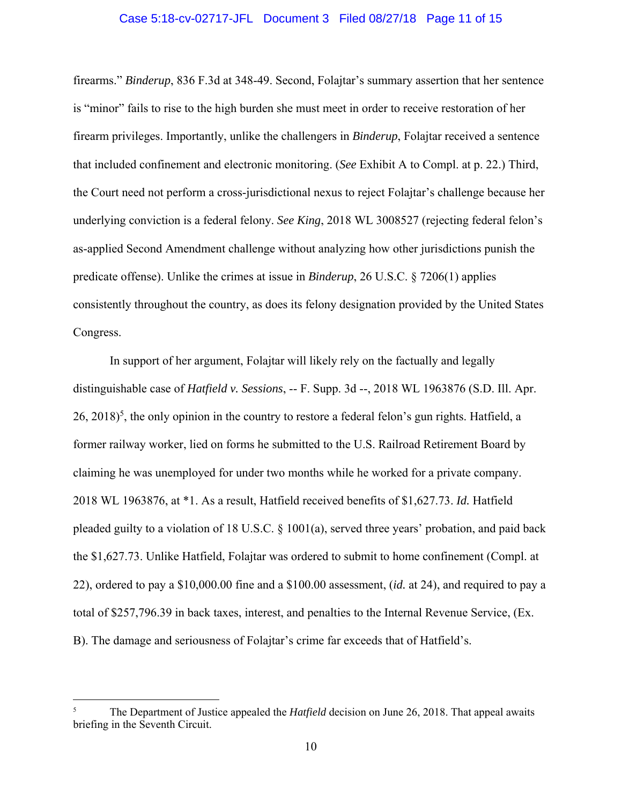### Case 5:18-cv-02717-JFL Document 3 Filed 08/27/18 Page 11 of 15

firearms." *Binderup*, 836 F.3d at 348-49. Second, Folajtar's summary assertion that her sentence is "minor" fails to rise to the high burden she must meet in order to receive restoration of her firearm privileges. Importantly, unlike the challengers in *Binderup*, Folajtar received a sentence that included confinement and electronic monitoring. (*See* Exhibit A to Compl. at p. 22.) Third, the Court need not perform a cross-jurisdictional nexus to reject Folajtar's challenge because her underlying conviction is a federal felony. *See King*, 2018 WL 3008527 (rejecting federal felon's as-applied Second Amendment challenge without analyzing how other jurisdictions punish the predicate offense). Unlike the crimes at issue in *Binderup*, 26 U.S.C. § 7206(1) applies consistently throughout the country, as does its felony designation provided by the United States Congress.

In support of her argument, Folajtar will likely rely on the factually and legally distinguishable case of *Hatfield v. Sessions*, -- F. Supp. 3d --, 2018 WL 1963876 (S.D. Ill. Apr.  $26, 2018)^5$ , the only opinion in the country to restore a federal felon's gun rights. Hatfield, a former railway worker, lied on forms he submitted to the U.S. Railroad Retirement Board by claiming he was unemployed for under two months while he worked for a private company. 2018 WL 1963876, at \*1. As a result, Hatfield received benefits of \$1,627.73. *Id.* Hatfield pleaded guilty to a violation of 18 U.S.C. § 1001(a), served three years' probation, and paid back the \$1,627.73. Unlike Hatfield, Folajtar was ordered to submit to home confinement (Compl. at 22), ordered to pay a \$10,000.00 fine and a \$100.00 assessment, (*id.* at 24), and required to pay a total of \$257,796.39 in back taxes, interest, and penalties to the Internal Revenue Service, (Ex. B). The damage and seriousness of Folajtar's crime far exceeds that of Hatfield's.

1

<sup>5</sup> The Department of Justice appealed the *Hatfield* decision on June 26, 2018. That appeal awaits briefing in the Seventh Circuit.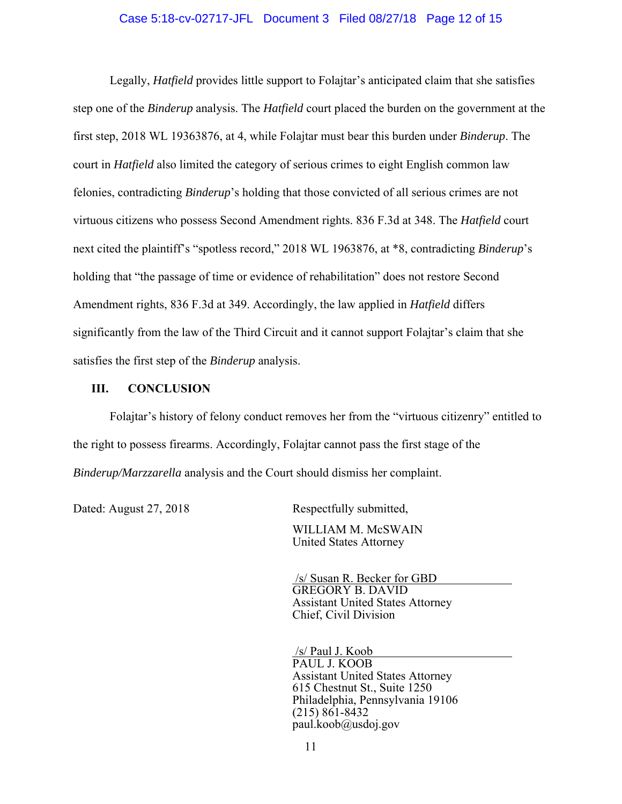### Case 5:18-cv-02717-JFL Document 3 Filed 08/27/18 Page 12 of 15

Legally, *Hatfield* provides little support to Folajtar's anticipated claim that she satisfies step one of the *Binderup* analysis. The *Hatfield* court placed the burden on the government at the first step, 2018 WL 19363876, at 4, while Folajtar must bear this burden under *Binderup*. The court in *Hatfield* also limited the category of serious crimes to eight English common law felonies, contradicting *Binderup*'s holding that those convicted of all serious crimes are not virtuous citizens who possess Second Amendment rights. 836 F.3d at 348. The *Hatfield* court next cited the plaintiff's "spotless record," 2018 WL 1963876, at \*8, contradicting *Binderup*'s holding that "the passage of time or evidence of rehabilitation" does not restore Second Amendment rights, 836 F.3d at 349. Accordingly, the law applied in *Hatfield* differs significantly from the law of the Third Circuit and it cannot support Folajtar's claim that she satisfies the first step of the *Binderup* analysis.

#### **III. CONCLUSION**

Folajtar's history of felony conduct removes her from the "virtuous citizenry" entitled to the right to possess firearms. Accordingly, Folajtar cannot pass the first stage of the *Binderup/Marzzarella* analysis and the Court should dismiss her complaint.

Dated: August 27, 2018 Respectfully submitted,

 WILLIAM M. McSWAIN United States Attorney

 /s/ Susan R. Becker for GBD GREGORY B. DAVID Assistant United States Attorney Chief, Civil Division

 /s/ Paul J. Koob PAUL J. KOOB Assistant United States Attorney 615 Chestnut St., Suite 1250 Philadelphia, Pennsylvania 19106 (215) 861-8432 paul.koob@usdoj.gov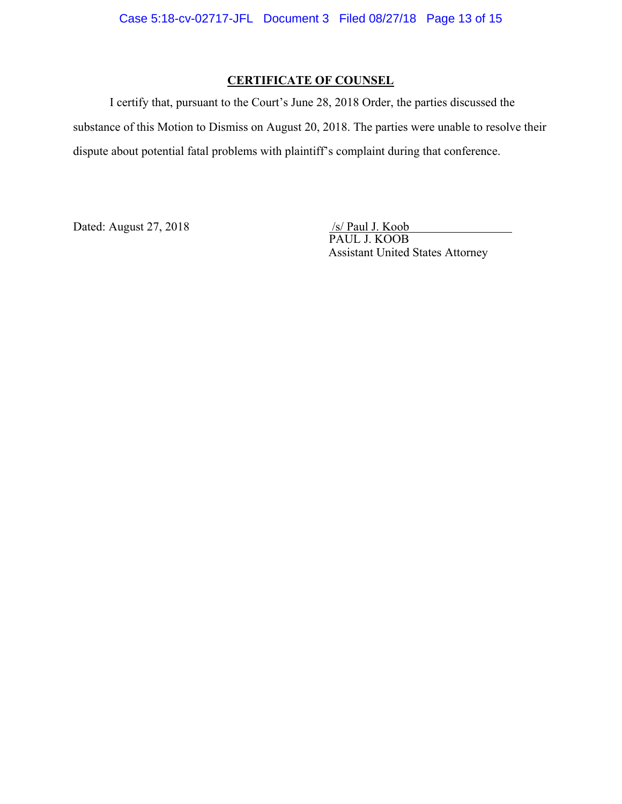# **CERTIFICATE OF COUNSEL**

I certify that, pursuant to the Court's June 28, 2018 Order, the parties discussed the substance of this Motion to Dismiss on August 20, 2018. The parties were unable to resolve their dispute about potential fatal problems with plaintiff's complaint during that conference.

Dated: August 27, 2018

 PAUL J. KOOB Assistant United States Attorney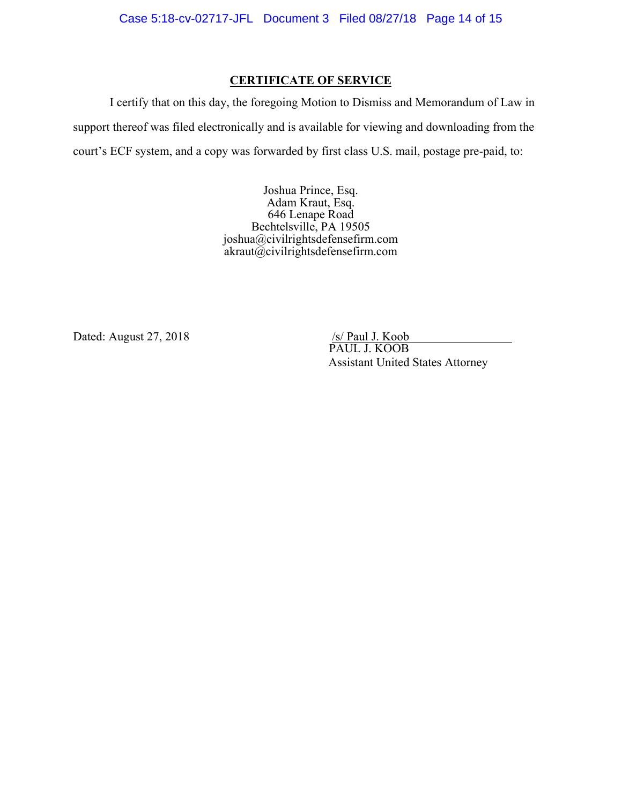## **CERTIFICATE OF SERVICE**

I certify that on this day, the foregoing Motion to Dismiss and Memorandum of Law in support thereof was filed electronically and is available for viewing and downloading from the court's ECF system, and a copy was forwarded by first class U.S. mail, postage pre-paid, to:

> Joshua Prince, Esq. Adam Kraut, Esq. 646 Lenape Road Bechtelsville, PA 19505 joshua@civilrightsdefensefirm.com  $akraut@civilrightsdefensefirm.com$

Dated: August 27, 2018

 PAUL J. KOOB Assistant United States Attorney